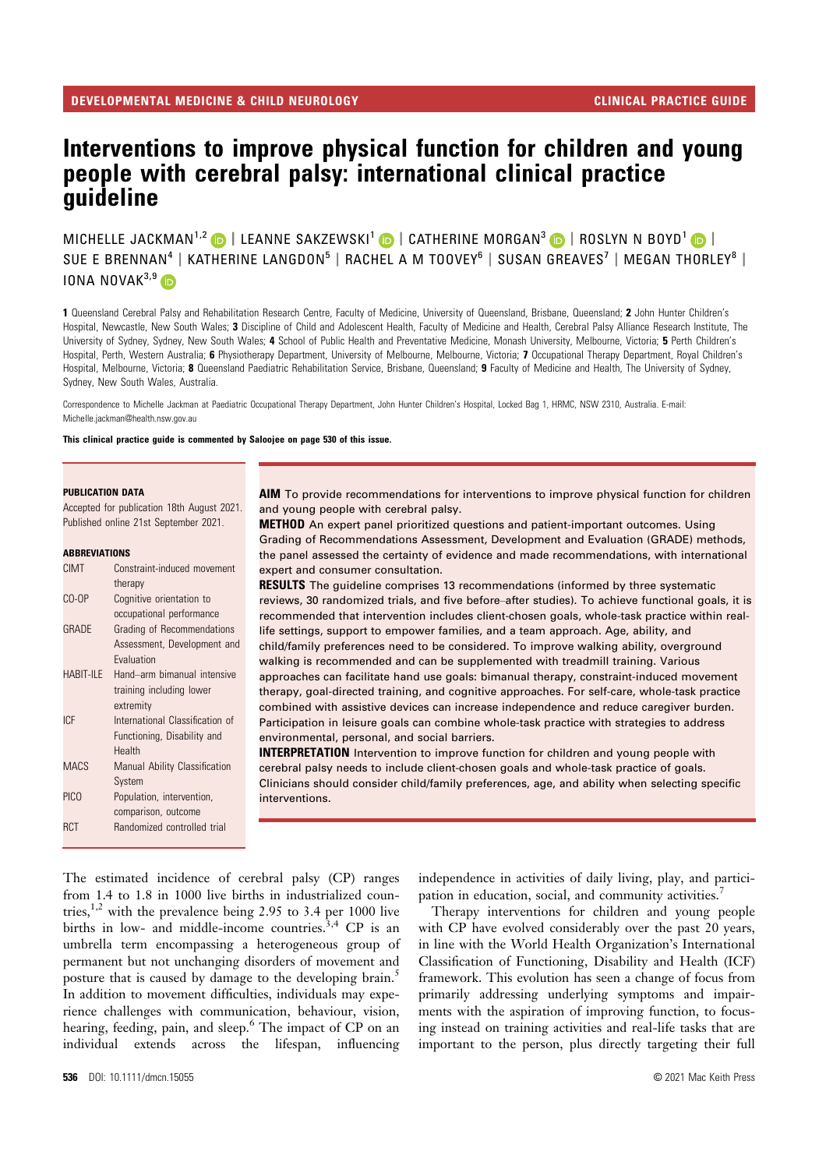# Interventions to improve physical function for children and young people with cerebral palsy: international clinical practice guideline

MICHELLE JACKMAN<sup>1,2</sup> D | LEANNE SAKZEWSKI<sup>1</sup> D | CATHERINE MORGAN<sup>3</sup> D | ROSLYN N BOYD<sup>1</sup> D | SUE E BRENNAN<sup>4</sup> | KATHERINE LANGDON<sup>5</sup> | RACHEL A M TOOVEY<sup>6</sup> | SUSAN GREAVES<sup>7</sup> | MEGAN THORLEY<sup>8</sup> | IONA NOVA $K^{3,9}$ 

1 Queensland Cerebral Palsy and Rehabilitation Research Centre, Faculty of Medicine, University of Queensland, Brisbane, Queensland; 2 John Hunter Children's Hospital, Newcastle, New South Wales; 3 Discipline of Child and Adolescent Health, Faculty of Medicine and Health, Cerebral Palsy Alliance Research Institute, The University of Sydney, Sydney, New South Wales; 4 School of Public Health and Preventative Medicine, Monash University, Melbourne, Victoria; 5 Perth Children's Hospital, Perth, Western Australia; 6 Physiotherapy Department, University of Melbourne, Melbourne, Victoria; 7 Occupational Therapy Department, Royal Children's Hospital, Melbourne, Victoria; 8 Queensland Paediatric Rehabilitation Service, Brisbane, Queensland; 9 Faculty of Medicine and Health, The University of Sydney, Sydney, New South Wales, Australia.

Correspondence to Michelle Jackman at Paediatric Occupational Therapy Department, John Hunter Children's Hospital, Locked Bag 1, HRMC, NSW 2310, Australia. E-mail: Michelle.jackman@health.nsw.gov.au

This clinical practice guide is commented by Saloojee on page 530 of this issue.

#### PUBLICATION DATA

Accepted for publication 18th August 2021. Published online 21st September 2021.

#### ABBREVIATIONS

| CIMT            | Constraint-induced movement     |
|-----------------|---------------------------------|
|                 | therapy                         |
| CO-OP           | Cognitive orientation to        |
|                 | occupational performance        |
| GRADE           | Grading of Recommendations      |
|                 | Assessment, Development and     |
|                 | Evaluation                      |
| HABIT-ILE       | Hand-arm bimanual intensive     |
|                 | training including lower        |
|                 | extremity                       |
| IC <sub>F</sub> | International Classification of |
|                 | Functioning, Disability and     |
|                 | Health                          |
| <b>MACS</b>     | Manual Ability Classification   |
|                 | System                          |
| <b>PICO</b>     | Population, intervention,       |
|                 | comparison, outcome             |
| RCT             | Randomized controlled trial     |
|                 |                                 |

AIM To provide recommendations for interventions to improve physical function for children and young people with cerebral palsy.

METHOD An expert panel prioritized questions and patient-important outcomes. Using Grading of Recommendations Assessment, Development and Evaluation (GRADE) methods, the panel assessed the certainty of evidence and made recommendations, with international expert and consumer consultation.

**RESULTS** The quideline comprises 13 recommendations (informed by three systematic reviews, 30 randomized trials, and five before–after studies). To achieve functional goals, it is recommended that intervention includes client-chosen goals, whole-task practice within reallife settings, support to empower families, and a team approach. Age, ability, and child/family preferences need to be considered. To improve walking ability, overground walking is recommended and can be supplemented with treadmill training. Various approaches can facilitate hand use goals: bimanual therapy, constraint-induced movement therapy, goal-directed training, and cognitive approaches. For self-care, whole-task practice combined with assistive devices can increase independence and reduce caregiver burden. Participation in leisure goals can combine whole-task practice with strategies to address environmental, personal, and social barriers.

**INTERPRETATION** Intervention to improve function for children and young people with cerebral palsy needs to include client-chosen goals and whole-task practice of goals. Clinicians should consider child/family preferences, age, and ability when selecting specific interventions.

The estimated incidence of cerebral palsy (CP) ranges from 1.4 to 1.8 in 1000 live births in industrialized countries,<sup>1,2</sup> with the prevalence being 2.95 to 3.4 per 1000 live births in low- and middle-income countries.<sup>3,4</sup> CP is an umbrella term encompassing a heterogeneous group of permanent but not unchanging disorders of movement and posture that is caused by damage to the developing brain.<sup>5</sup> In addition to movement difficulties, individuals may experience challenges with communication, behaviour, vision, hearing, feeding, pain, and sleep.<sup>6</sup> The impact of CP on an individual extends across the lifespan, influencing

independence in activities of daily living, play, and participation in education, social, and community activities.<sup>7</sup>

Therapy interventions for children and young people with CP have evolved considerably over the past 20 years, in line with the World Health Organization's International Classification of Functioning, Disability and Health (ICF) framework. This evolution has seen a change of focus from primarily addressing underlying symptoms and impairments with the aspiration of improving function, to focusing instead on training activities and real-life tasks that are important to the person, plus directly targeting their full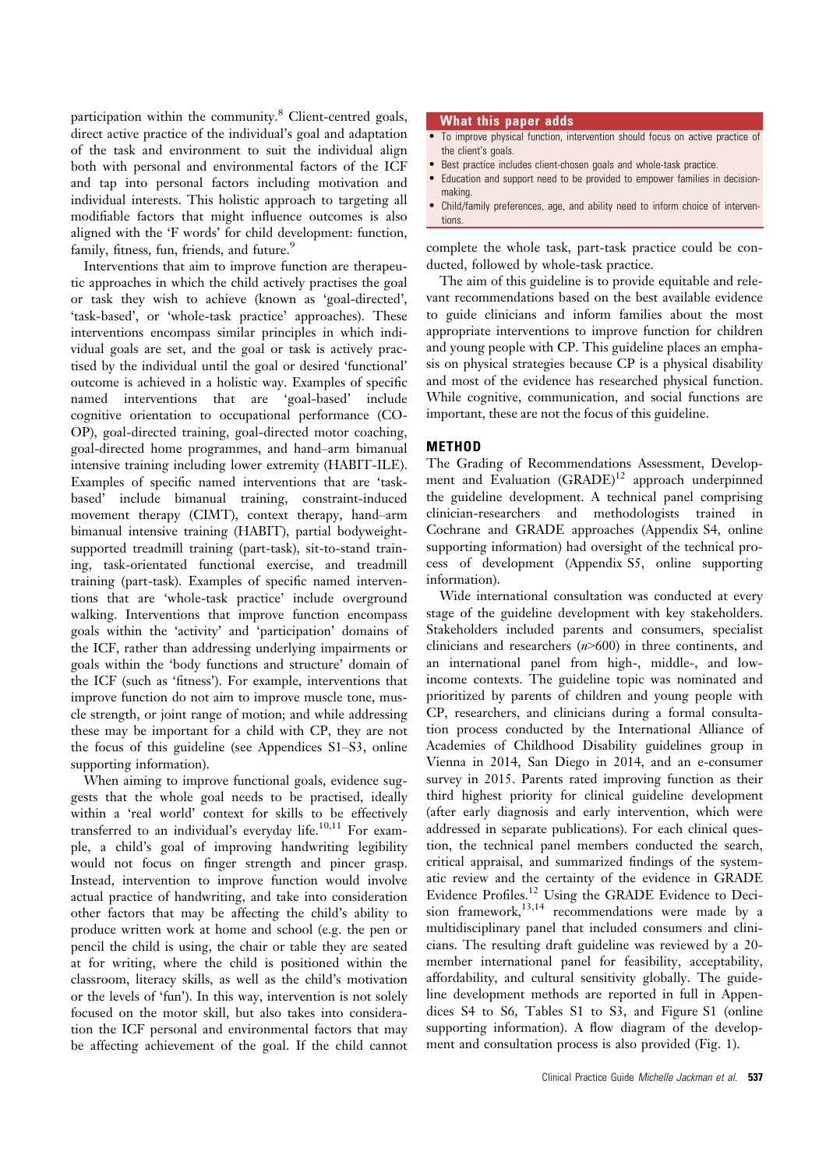participation within the community.<sup>8</sup> Client-centred goals, direct active practice of the individual's goal and adaptation of the task and environment to suit the individual align both with personal and environmental factors of the ICF and tap into personal factors including motivation and individual interests. This holistic approach to targeting all modifiable factors that might influence outcomes is also aligned with the 'F words' for child development: function, family, fitness, fun, friends, and future.<sup>9</sup>

Interventions that aim to improve function are therapeutic approaches in which the child actively practises the goal or task they wish to achieve (known as 'goal-directed', 'task-based', or 'whole-task practice' approaches). These interventions encompass similar principles in which individual goals are set, and the goal or task is actively practised by the individual until the goal or desired 'functional' outcome is achieved in a holistic way. Examples of specific named interventions that are 'goal-based' include cognitive orientation to occupational performance (CO-OP), goal-directed training, goal-directed motor coaching, goal-directed home programmes, and hand–arm bimanual intensive training including lower extremity (HABIT-ILE). Examples of specific named interventions that are 'taskbased' include bimanual training, constraint-induced movement therapy (CIMT), context therapy, hand–arm bimanual intensive training (HABIT), partial bodyweightsupported treadmill training (part-task), sit-to-stand training, task-orientated functional exercise, and treadmill training (part-task). Examples of specific named interventions that are 'whole-task practice' include overground walking. Interventions that improve function encompass goals within the 'activity' and 'participation' domains of the ICF, rather than addressing underlying impairments or goals within the 'body functions and structure' domain of the ICF (such as 'fitness'). For example, interventions that improve function do not aim to improve muscle tone, muscle strength, or joint range of motion; and while addressing these may be important for a child with CP, they are not the focus of this guideline (see Appendices S1–S3, online supporting information).

When aiming to improve functional goals, evidence suggests that the whole goal needs to be practised, ideally within a 'real world' context for skills to be effectively transferred to an individual's everyday life.<sup>10,11</sup> For example, a child's goal of improving handwriting legibility would not focus on finger strength and pincer grasp. Instead, intervention to improve function would involve actual practice of handwriting, and take into consideration other factors that may be affecting the child's ability to produce written work at home and school (e.g. the pen or pencil the child is using, the chair or table they are seated at for writing, where the child is positioned within the classroom, literacy skills, as well as the child's motivation or the levels of 'fun'). In this way, intervention is not solely focused on the motor skill, but also takes into consideration the ICF personal and environmental factors that may be affecting achievement of the goal. If the child cannot

#### What this paper adds

- To improve physical function, intervention should focus on active practice of the client's goals.
- Best practice includes client-chosen goals and whole-task practice.
- Education and support need to be provided to empower families in decisionmaking.
- Child/family preferences, age, and ability need to inform choice of interventions.

complete the whole task, part-task practice could be conducted, followed by whole-task practice.

The aim of this guideline is to provide equitable and relevant recommendations based on the best available evidence to guide clinicians and inform families about the most appropriate interventions to improve function for children and young people with CP. This guideline places an emphasis on physical strategies because CP is a physical disability and most of the evidence has researched physical function. While cognitive, communication, and social functions are important, these are not the focus of this guideline.

### METHOD

The Grading of Recommendations Assessment, Development and Evaluation (GRADE)<sup>12</sup> approach underpinned the guideline development. A technical panel comprising clinician-researchers and methodologists trained in Cochrane and GRADE approaches (Appendix S4, online supporting information) had oversight of the technical process of development (Appendix S5, online supporting information).

Wide international consultation was conducted at every stage of the guideline development with key stakeholders. Stakeholders included parents and consumers, specialist clinicians and researchers  $(n>600)$  in three continents, and an international panel from high-, middle-, and lowincome contexts. The guideline topic was nominated and prioritized by parents of children and young people with CP, researchers, and clinicians during a formal consultation process conducted by the International Alliance of Academies of Childhood Disability guidelines group in Vienna in 2014, San Diego in 2014, and an e-consumer survey in 2015. Parents rated improving function as their third highest priority for clinical guideline development (after early diagnosis and early intervention, which were addressed in separate publications). For each clinical question, the technical panel members conducted the search, critical appraisal, and summarized findings of the systematic review and the certainty of the evidence in GRADE Evidence Profiles.<sup>12</sup> Using the GRADE Evidence to Decision framework, $13,14$  recommendations were made by a multidisciplinary panel that included consumers and clinicians. The resulting draft guideline was reviewed by a 20 member international panel for feasibility, acceptability, affordability, and cultural sensitivity globally. The guideline development methods are reported in full in Appendices S4 to S6, Tables S1 to S3, and Figure S1 (online supporting information). A flow diagram of the development and consultation process is also provided (Fig. 1).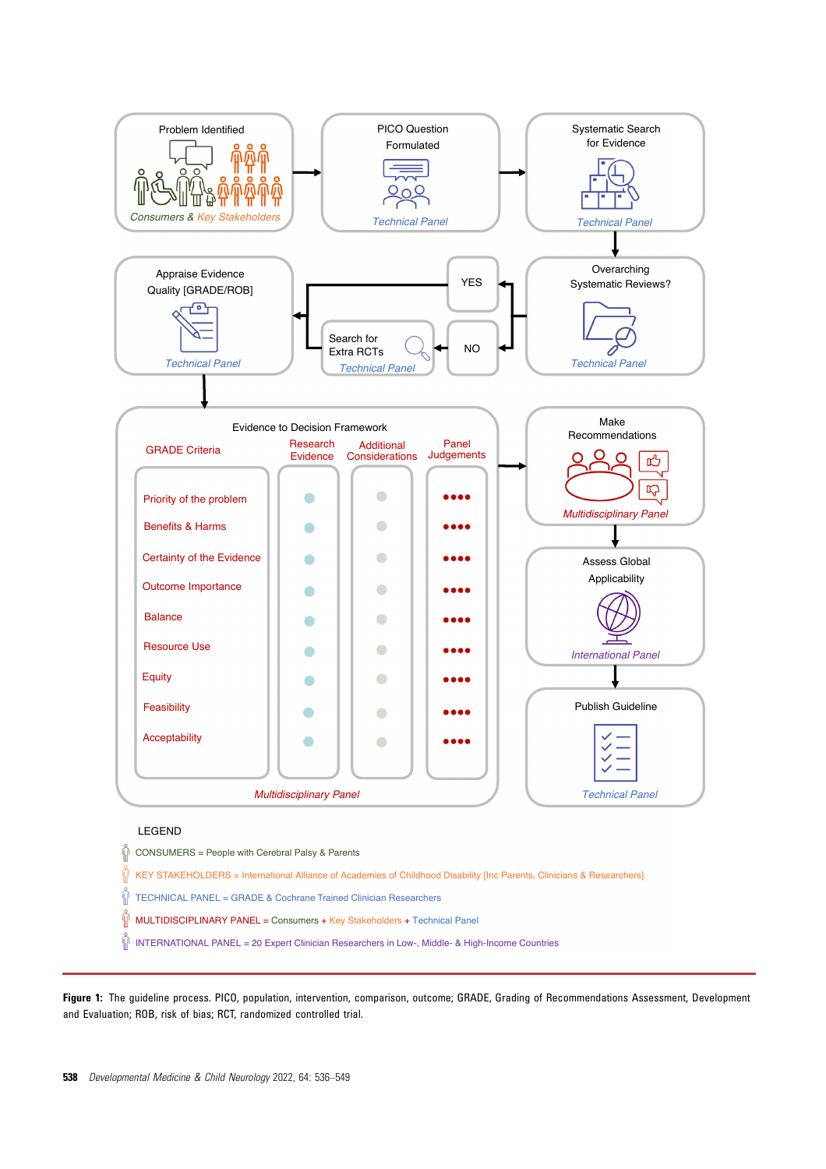

# LEGEND

 $\widehat{\mathbb{D}}$  CONSUMERS = People with Cerebral Palsy & Parents

 $\stackrel{\leftrightarrow}{\parallel}$  KEY STAKEHOLDERS = International Alliance of Academies of Childhood Disability [Inc Parents, Clinicians & Researchers]

 $\tilde{\P}$ TECHNICAL PANEL = GRADE & Cochrane Trained Clinician Researchers

 $\hat{\mathbb{P}}$  MULTIDISCIPLINARY PANEL = Consumers + Key Stakeholders + Technical Panel

 $\tilde{\P}$  INTERNATIONAL PANEL = 20 Expert Clinician Researchers in Low-, Middle- & High-Income Countries

Figure 1: The quideline process. PICO, population, intervention, comparison, outcome; GRADE, Grading of Recommendations Assessment, Development and Evaluation; ROB, risk of bias; RCT, randomized controlled trial.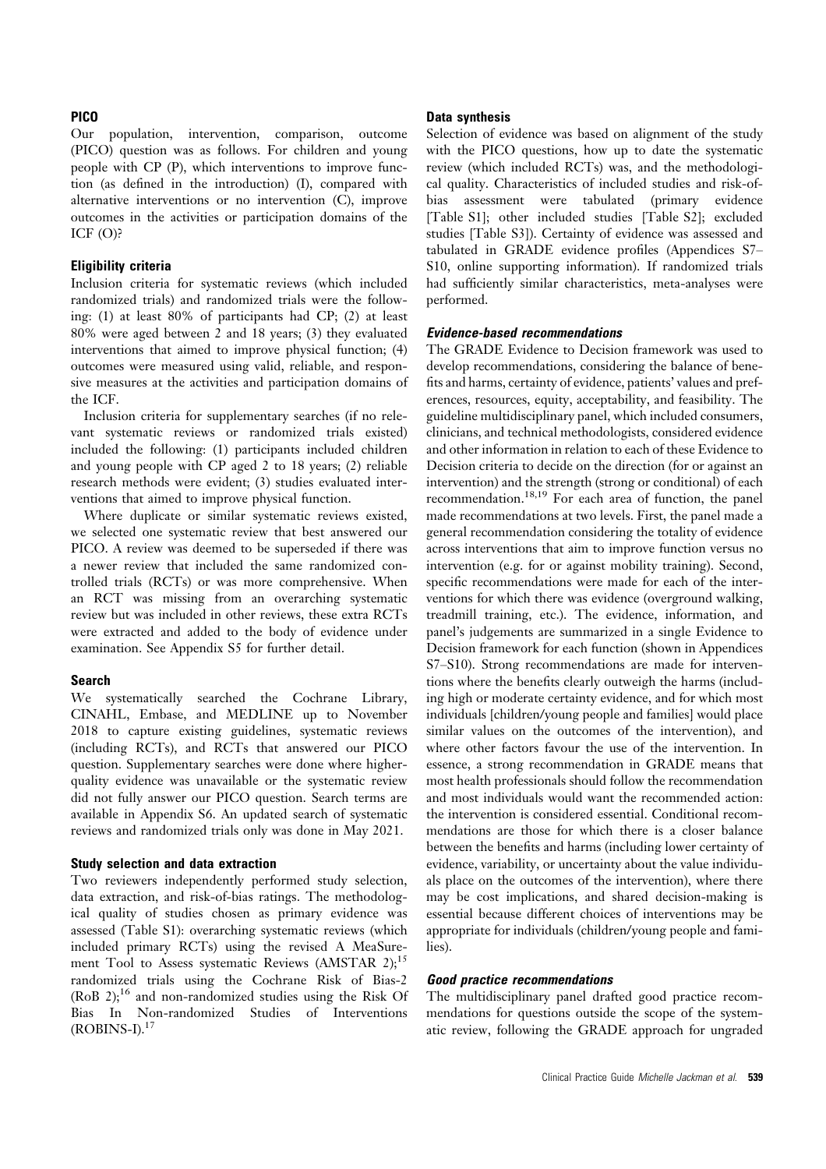### **PICO**

Our population, intervention, comparison, outcome (PICO) question was as follows. For children and young people with CP (P), which interventions to improve function (as defined in the introduction) (I), compared with alternative interventions or no intervention (C), improve outcomes in the activities or participation domains of the ICF (O)?

### Eligibility criteria

Inclusion criteria for systematic reviews (which included randomized trials) and randomized trials were the following: (1) at least 80% of participants had CP; (2) at least 80% were aged between 2 and 18 years; (3) they evaluated interventions that aimed to improve physical function; (4) outcomes were measured using valid, reliable, and responsive measures at the activities and participation domains of the ICF.

Inclusion criteria for supplementary searches (if no relevant systematic reviews or randomized trials existed) included the following: (1) participants included children and young people with CP aged 2 to 18 years; (2) reliable research methods were evident; (3) studies evaluated interventions that aimed to improve physical function.

Where duplicate or similar systematic reviews existed, we selected one systematic review that best answered our PICO. A review was deemed to be superseded if there was a newer review that included the same randomized controlled trials (RCTs) or was more comprehensive. When an RCT was missing from an overarching systematic review but was included in other reviews, these extra RCTs were extracted and added to the body of evidence under examination. See Appendix S5 for further detail.

#### Search

We systematically searched the Cochrane Library, CINAHL, Embase, and MEDLINE up to November 2018 to capture existing guidelines, systematic reviews (including RCTs), and RCTs that answered our PICO question. Supplementary searches were done where higherquality evidence was unavailable or the systematic review did not fully answer our PICO question. Search terms are available in Appendix S6. An updated search of systematic reviews and randomized trials only was done in May 2021.

#### Study selection and data extraction

Two reviewers independently performed study selection, data extraction, and risk-of-bias ratings. The methodological quality of studies chosen as primary evidence was assessed (Table S1): overarching systematic reviews (which included primary RCTs) using the revised A MeaSurement Tool to Assess systematic Reviews (AMSTAR 2);<sup>15</sup> randomized trials using the Cochrane Risk of Bias-2 (RoB 2); $^{16}$  and non-randomized studies using the Risk Of Bias In Non-randomized Studies of Interventions  $(ROBINS-I)<sup>17</sup>$ 

### Data synthesis

Selection of evidence was based on alignment of the study with the PICO questions, how up to date the systematic review (which included RCTs) was, and the methodological quality. Characteristics of included studies and risk-ofbias assessment were tabulated (primary evidence [Table S1]; other included studies [Table S2]; excluded studies [Table S3]). Certainty of evidence was assessed and tabulated in GRADE evidence profiles (Appendices S7– S10, online supporting information). If randomized trials had sufficiently similar characteristics, meta-analyses were performed.

### Evidence-based recommendations

The GRADE Evidence to Decision framework was used to develop recommendations, considering the balance of benefits and harms, certainty of evidence, patients' values and preferences, resources, equity, acceptability, and feasibility. The guideline multidisciplinary panel, which included consumers, clinicians, and technical methodologists, considered evidence and other information in relation to each of these Evidence to Decision criteria to decide on the direction (for or against an intervention) and the strength (strong or conditional) of each recommendation.18,19 For each area of function, the panel made recommendations at two levels. First, the panel made a general recommendation considering the totality of evidence across interventions that aim to improve function versus no intervention (e.g. for or against mobility training). Second, specific recommendations were made for each of the interventions for which there was evidence (overground walking, treadmill training, etc.). The evidence, information, and panel's judgements are summarized in a single Evidence to Decision framework for each function (shown in Appendices S7–S10). Strong recommendations are made for interventions where the benefits clearly outweigh the harms (including high or moderate certainty evidence, and for which most individuals [children/young people and families] would place similar values on the outcomes of the intervention), and where other factors favour the use of the intervention. In essence, a strong recommendation in GRADE means that most health professionals should follow the recommendation and most individuals would want the recommended action: the intervention is considered essential. Conditional recommendations are those for which there is a closer balance between the benefits and harms (including lower certainty of evidence, variability, or uncertainty about the value individuals place on the outcomes of the intervention), where there may be cost implications, and shared decision-making is essential because different choices of interventions may be appropriate for individuals (children/young people and families).

### Good practice recommendations

The multidisciplinary panel drafted good practice recommendations for questions outside the scope of the systematic review, following the GRADE approach for ungraded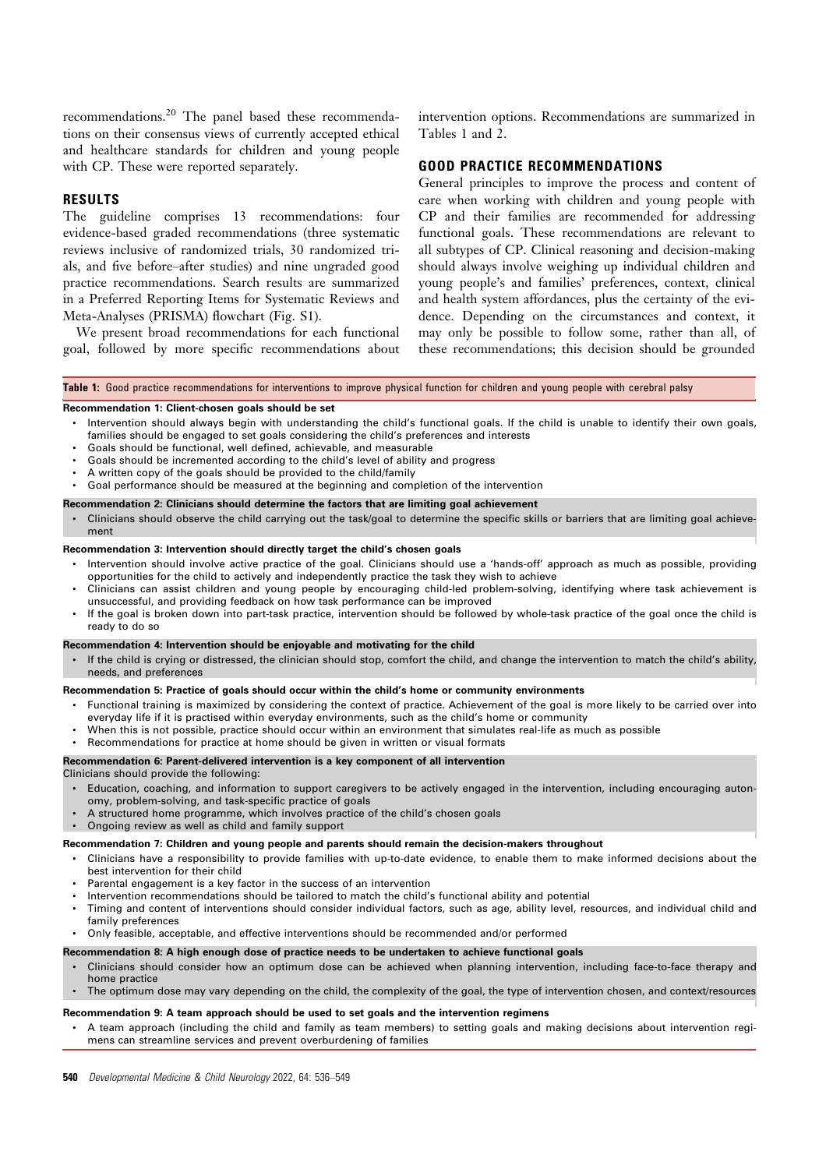recommendations.<sup>20</sup> The panel based these recommendations on their consensus views of currently accepted ethical and healthcare standards for children and young people with CP. These were reported separately.

### RESULTS

The guideline comprises 13 recommendations: four evidence-based graded recommendations (three systematic reviews inclusive of randomized trials, 30 randomized trials, and five before–after studies) and nine ungraded good practice recommendations. Search results are summarized in a Preferred Reporting Items for Systematic Reviews and Meta-Analyses (PRISMA) flowchart (Fig. S1).

We present broad recommendations for each functional goal, followed by more specific recommendations about

intervention options. Recommendations are summarized in Tables 1 and 2.

### GOOD PRACTICE RECOMMENDATIONS

General principles to improve the process and content of care when working with children and young people with CP and their families are recommended for addressing functional goals. These recommendations are relevant to all subtypes of CP. Clinical reasoning and decision-making should always involve weighing up individual children and young people's and families' preferences, context, clinical and health system affordances, plus the certainty of the evidence. Depending on the circumstances and context, it may only be possible to follow some, rather than all, of these recommendations; this decision should be grounded

#### Table 1: Good practice recommendations for interventions to improve physical function for children and young people with cerebral palsy

#### Recommendation 1: Client-chosen goals should be set

- Intervention should always begin with understanding the child's functional goals. If the child is unable to identify their own goals, families should be engaged to set goals considering the child's preferences and interests
- Goals should be functional, well defined, achievable, and measurable
- Goals should be incremented according to the child's level of ability and progress
- A written copy of the goals should be provided to the child/family
- Goal performance should be measured at the beginning and completion of the intervention

#### Recommendation 2: Clinicians should determine the factors that are limiting goal achievement

• Clinicians should observe the child carrying out the task/goal to determine the specific skills or barriers that are limiting goal achievement

#### Recommendation 3: Intervention should directly target the child's chosen goals

- Intervention should involve active practice of the goal. Clinicians should use a 'hands-off' approach as much as possible, providing opportunities for the child to actively and independently practice the task they wish to achieve
- Clinicians can assist children and young people by encouraging child-led problem-solving, identifying where task achievement is unsuccessful, and providing feedback on how task performance can be improved
- If the goal is broken down into part-task practice, intervention should be followed by whole-task practice of the goal once the child is ready to do so

#### Recommendation 4: Intervention should be enjoyable and motivating for the child

• If the child is crying or distressed, the clinician should stop, comfort the child, and change the intervention to match the child's ability, needs, and preferences

#### Recommendation 5: Practice of goals should occur within the child's home or community environments

- Functional training is maximized by considering the context of practice. Achievement of the goal is more likely to be carried over into everyday life if it is practised within everyday environments, such as the child's home or community
- When this is not possible, practice should occur within an environment that simulates real-life as much as possible
- Recommendations for practice at home should be given in written or visual formats

#### Recommendation 6: Parent-delivered intervention is a key component of all intervention

- Clinicians should provide the following:
	- Education, coaching, and information to support caregivers to be actively engaged in the intervention, including encouraging autonomy, problem-solving, and task-specific practice of goals
- A structured home programme, which involves practice of the child's chosen goals
- Ongoing review as well as child and family support

#### Recommendation 7: Children and young people and parents should remain the decision-makers throughout

- Clinicians have a responsibility to provide families with up-to-date evidence, to enable them to make informed decisions about the best intervention for their child
- Parental engagement is a key factor in the success of an intervention
- Intervention recommendations should be tailored to match the child's functional ability and potential
- Timing and content of interventions should consider individual factors, such as age, ability level, resources, and individual child and family preferences

# • Only feasible, acceptable, and effective interventions should be recommended and/or performed

#### Recommendation 8: A high enough dose of practice needs to be undertaken to achieve functional goals

- Clinicians should consider how an optimum dose can be achieved when planning intervention, including face-to-face therapy and home practice
- The optimum dose may vary depending on the child, the complexity of the goal, the type of intervention chosen, and context/resources

### Recommendation 9: A team approach should be used to set goals and the intervention regimens

• A team approach (including the child and family as team members) to setting goals and making decisions about intervention regimens can streamline services and prevent overburdening of families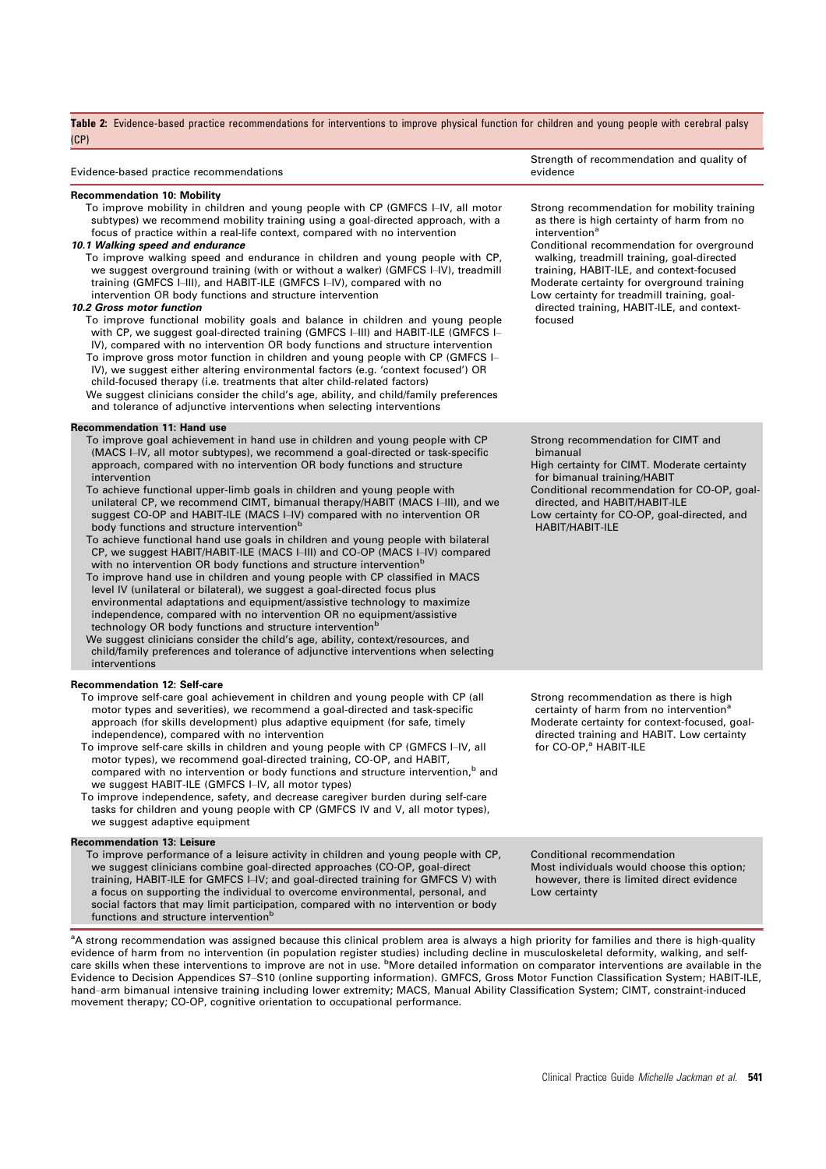| Table 2: Evidence-based practice recommendations for interventions to improve physical function for children and young people with cerebral palsy<br>(CP)                                                                                                                                                                                                                                                                                                                                                                                                                                                                                                                                                                                                                                                                                                                                                                                                                                                                                                                                                                                                                                                                                                                                                                                                                                                                                |                                                                                                                                                                                                                                                                                                                                                                                                                     |  |  |
|------------------------------------------------------------------------------------------------------------------------------------------------------------------------------------------------------------------------------------------------------------------------------------------------------------------------------------------------------------------------------------------------------------------------------------------------------------------------------------------------------------------------------------------------------------------------------------------------------------------------------------------------------------------------------------------------------------------------------------------------------------------------------------------------------------------------------------------------------------------------------------------------------------------------------------------------------------------------------------------------------------------------------------------------------------------------------------------------------------------------------------------------------------------------------------------------------------------------------------------------------------------------------------------------------------------------------------------------------------------------------------------------------------------------------------------|---------------------------------------------------------------------------------------------------------------------------------------------------------------------------------------------------------------------------------------------------------------------------------------------------------------------------------------------------------------------------------------------------------------------|--|--|
| Evidence-based practice recommendations                                                                                                                                                                                                                                                                                                                                                                                                                                                                                                                                                                                                                                                                                                                                                                                                                                                                                                                                                                                                                                                                                                                                                                                                                                                                                                                                                                                                  | Strength of recommendation and quality of<br>evidence                                                                                                                                                                                                                                                                                                                                                               |  |  |
| <b>Recommendation 10: Mobility</b><br>To improve mobility in children and young people with CP (GMFCS I-IV, all motor<br>subtypes) we recommend mobility training using a goal-directed approach, with a<br>focus of practice within a real-life context, compared with no intervention<br>10.1 Walking speed and endurance<br>To improve walking speed and endurance in children and young people with CP,<br>we suggest overground training (with or without a walker) (GMFCS I-IV), treadmill<br>training (GMFCS I-III), and HABIT-ILE (GMFCS I-IV), compared with no<br>intervention OR body functions and structure intervention<br>10.2 Gross motor function<br>To improve functional mobility goals and balance in children and young people<br>with CP, we suggest goal-directed training (GMFCS I-III) and HABIT-ILE (GMFCS I-<br>IV), compared with no intervention OR body functions and structure intervention<br>To improve gross motor function in children and young people with CP (GMFCS I-<br>IV), we suggest either altering environmental factors (e.g. 'context focused') OR<br>child-focused therapy (i.e. treatments that alter child-related factors)<br>We suggest clinicians consider the child's age, ability, and child/family preferences<br>and tolerance of adjunctive interventions when selecting interventions                                                                                         | Strong recommendation for mobility training<br>as there is high certainty of harm from no<br>intervention <sup>a</sup><br>Conditional recommendation for overground<br>walking, treadmill training, goal-directed<br>training, HABIT-ILE, and context-focused<br>Moderate certainty for overground training<br>Low certainty for treadmill training, goal-<br>directed training, HABIT-ILE, and context-<br>focused |  |  |
| <b>Recommendation 11: Hand use</b><br>To improve goal achievement in hand use in children and young people with CP<br>(MACS I-IV, all motor subtypes), we recommend a goal-directed or task-specific<br>approach, compared with no intervention OR body functions and structure<br>intervention<br>To achieve functional upper-limb goals in children and young people with<br>unilateral CP, we recommend CIMT, bimanual therapy/HABIT (MACS I-III), and we<br>suggest CO-OP and HABIT-ILE (MACS I-IV) compared with no intervention OR<br>body functions and structure intervention <sup>b</sup><br>To achieve functional hand use goals in children and young people with bilateral<br>CP, we suggest HABIT/HABIT-ILE (MACS I-III) and CO-OP (MACS I-IV) compared<br>with no intervention OR body functions and structure intervention <sup>b</sup><br>To improve hand use in children and young people with CP classified in MACS<br>level IV (unilateral or bilateral), we suggest a goal-directed focus plus<br>environmental adaptations and equipment/assistive technology to maximize<br>independence, compared with no intervention OR no equipment/assistive<br>technology OR body functions and structure intervention <sup>b</sup><br>We suggest clinicians consider the child's age, ability, context/resources, and<br>child/family preferences and tolerance of adjunctive interventions when selecting<br>interventions | Strong recommendation for CIMT and<br>bimanual<br>High certainty for CIMT. Moderate certainty<br>for bimanual training/HABIT<br>Conditional recommendation for CO-OP, goal-<br>directed, and HABIT/HABIT-ILE<br>Low certainty for CO-OP, goal-directed, and<br><b>HABIT/HABIT-ILE</b>                                                                                                                               |  |  |
| Recommendation 12: Self-care<br>To improve self-care goal achievement in children and young people with CP (all<br>motor types and severities), we recommend a goal-directed and task-specific<br>approach (for skills development) plus adaptive equipment (for safe, timely<br>independence), compared with no intervention<br>To improve self-care skills in children and young people with CP (GMFCS I-IV, all<br>motor types), we recommend goal-directed training, CO-OP, and HABIT,<br>compared with no intervention or body functions and structure intervention, <sup>b</sup> and<br>we suggest HABIT-ILE (GMFCS I–IV, all motor types)<br>To improve independence, safety, and decrease caregiver burden during self-care<br>tasks for children and young people with CP (GMFCS IV and V, all motor types),<br>we suggest adaptive equipment                                                                                                                                                                                                                                                                                                                                                                                                                                                                                                                                                                                   | Strong recommendation as there is high<br>certainty of harm from no intervention <sup>a</sup><br>Moderate certainty for context-focused, goal-<br>directed training and HABIT. Low certainty<br>for CO-OP, <sup>a</sup> HABIT-ILE                                                                                                                                                                                   |  |  |
| <b>Recommendation 13: Leisure</b><br>To improve performance of a leisure activity in children and young people with CP,<br>we suggest clinicians combine goal-directed approaches (CO-OP, goal-direct<br>training, HABIT-ILE for GMFCS I–IV; and goal-directed training for GMFCS V) with<br>a focus on supporting the individual to overcome environmental, personal, and<br>social factors that may limit participation, compared with no intervention or body<br>functions and structure intervention <sup>b</sup>                                                                                                                                                                                                                                                                                                                                                                                                                                                                                                                                                                                                                                                                                                                                                                                                                                                                                                                    | Conditional recommendation<br>Most individuals would choose this option;<br>however, there is limited direct evidence<br>Low certainty                                                                                                                                                                                                                                                                              |  |  |

<sup>a</sup>A strong recommendation was assigned because this clinical problem area is always a high priority for families and there is high-quality evidence of harm from no intervention (in population register studies) including decline in musculoskeletal deformity, walking, and self-<br>care skills when these interventions to improve are not in use. <sup>b</sup>More detailed inf Evidence to Decision Appendices S7–S10 (online supporting information). GMFCS, Gross Motor Function Classification System; HABIT-ILE, hand–arm bimanual intensive training including lower extremity; MACS, Manual Ability Classification System; CIMT, constraint-induced movement therapy; CO-OP, cognitive orientation to occupational performance.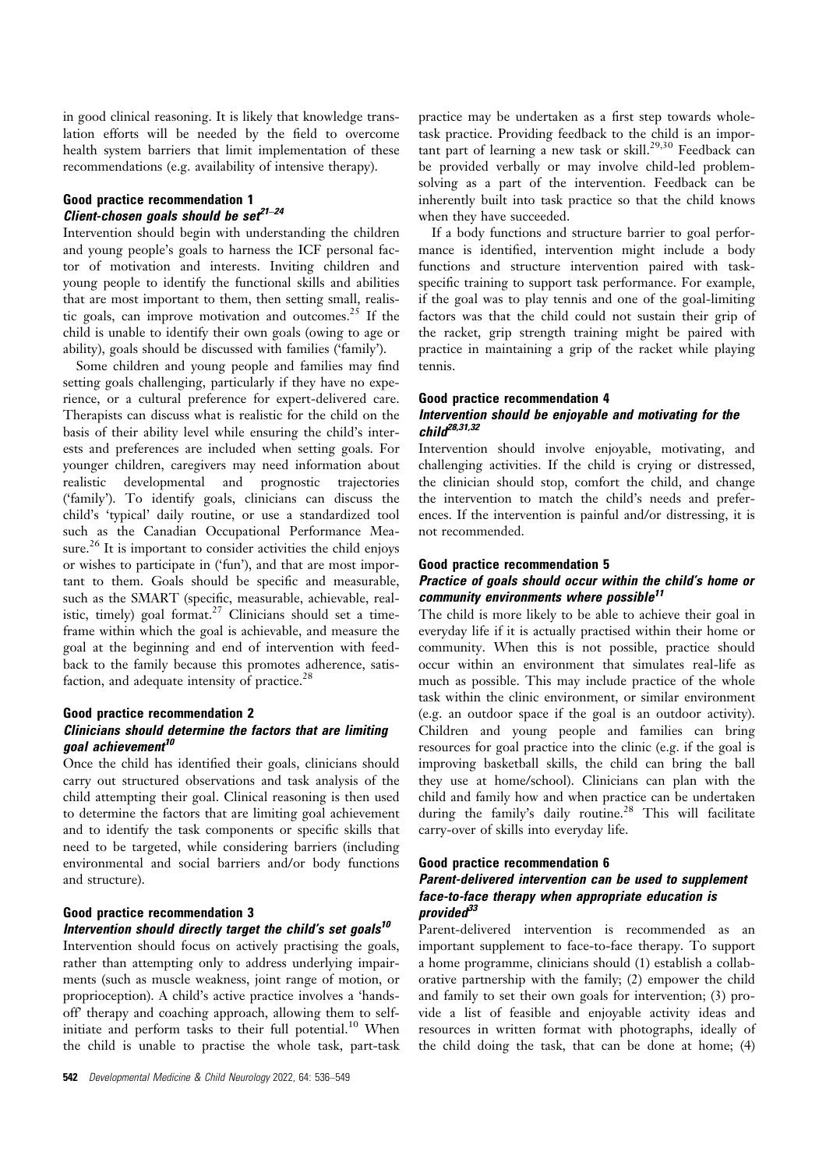in good clinical reasoning. It is likely that knowledge translation efforts will be needed by the field to overcome health system barriers that limit implementation of these recommendations (e.g. availability of intensive therapy).

# Good practice recommendation 1 Client-chosen goals should be set $2^{1-24}$

Intervention should begin with understanding the children and young people's goals to harness the ICF personal factor of motivation and interests. Inviting children and young people to identify the functional skills and abilities that are most important to them, then setting small, realistic goals, can improve motivation and outcomes.<sup>25</sup> If the child is unable to identify their own goals (owing to age or ability), goals should be discussed with families ('family').

Some children and young people and families may find setting goals challenging, particularly if they have no experience, or a cultural preference for expert-delivered care. Therapists can discuss what is realistic for the child on the basis of their ability level while ensuring the child's interests and preferences are included when setting goals. For younger children, caregivers may need information about realistic developmental and prognostic trajectories ('family'). To identify goals, clinicians can discuss the child's 'typical' daily routine, or use a standardized tool such as the Canadian Occupational Performance Measure.<sup>26</sup> It is important to consider activities the child enjoys or wishes to participate in ('fun'), and that are most important to them. Goals should be specific and measurable, such as the SMART (specific, measurable, achievable, realistic, timely) goal format.<sup>27</sup> Clinicians should set a timeframe within which the goal is achievable, and measure the goal at the beginning and end of intervention with feedback to the family because this promotes adherence, satisfaction, and adequate intensity of practice.<sup>28</sup>

## Good practice recommendation 2 Clinicians should determine the factors that are limiting goal achievement<sup>10</sup>

Once the child has identified their goals, clinicians should carry out structured observations and task analysis of the child attempting their goal. Clinical reasoning is then used to determine the factors that are limiting goal achievement and to identify the task components or specific skills that need to be targeted, while considering barriers (including environmental and social barriers and/or body functions and structure).

### Good practice recommendation 3 Intervention should directly target the child's set goals $10$

Intervention should focus on actively practising the goals, rather than attempting only to address underlying impairments (such as muscle weakness, joint range of motion, or proprioception). A child's active practice involves a 'handsoff' therapy and coaching approach, allowing them to selfinitiate and perform tasks to their full potential.<sup>10</sup> When the child is unable to practise the whole task, part-task practice may be undertaken as a first step towards wholetask practice. Providing feedback to the child is an important part of learning a new task or skill.<sup>29,30</sup> Feedback can be provided verbally or may involve child-led problemsolving as a part of the intervention. Feedback can be inherently built into task practice so that the child knows when they have succeeded.

If a body functions and structure barrier to goal performance is identified, intervention might include a body functions and structure intervention paired with taskspecific training to support task performance. For example, if the goal was to play tennis and one of the goal-limiting factors was that the child could not sustain their grip of the racket, grip strength training might be paired with practice in maintaining a grip of the racket while playing tennis.

#### Good practice recommendation 4

### Intervention should be enjoyable and motivating for the  $chilr<sup>28,31,32</sup>$

Intervention should involve enjoyable, motivating, and challenging activities. If the child is crying or distressed, the clinician should stop, comfort the child, and change the intervention to match the child's needs and preferences. If the intervention is painful and/or distressing, it is not recommended.

#### Good practice recommendation 5

### Practice of goals should occur within the child's home or community environments where possible<sup>11</sup>

The child is more likely to be able to achieve their goal in everyday life if it is actually practised within their home or community. When this is not possible, practice should occur within an environment that simulates real-life as much as possible. This may include practice of the whole task within the clinic environment, or similar environment (e.g. an outdoor space if the goal is an outdoor activity). Children and young people and families can bring resources for goal practice into the clinic (e.g. if the goal is improving basketball skills, the child can bring the ball they use at home/school). Clinicians can plan with the child and family how and when practice can be undertaken during the family's daily routine.<sup>28</sup> This will facilitate carry-over of skills into everyday life.

### Good practice recommendation 6 Parent-delivered intervention can be used to supplement face-to-face therapy when appropriate education is provide $d^{33}$

Parent-delivered intervention is recommended as an important supplement to face-to-face therapy. To support a home programme, clinicians should (1) establish a collaborative partnership with the family; (2) empower the child and family to set their own goals for intervention; (3) provide a list of feasible and enjoyable activity ideas and resources in written format with photographs, ideally of the child doing the task, that can be done at home; (4)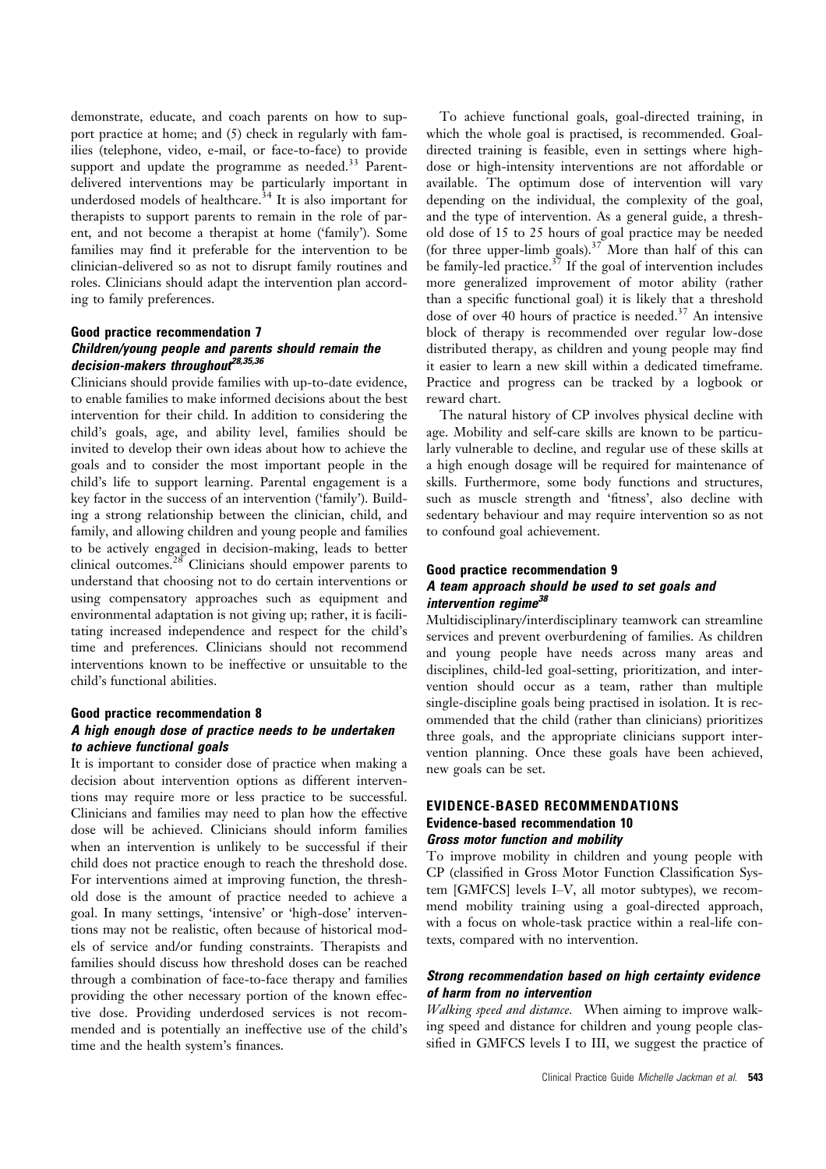demonstrate, educate, and coach parents on how to support practice at home; and (5) check in regularly with families (telephone, video, e-mail, or face-to-face) to provide support and update the programme as needed. $33$  Parentdelivered interventions may be particularly important in underdosed models of healthcare.<sup>34</sup> It is also important for therapists to support parents to remain in the role of parent, and not become a therapist at home ('family'). Some families may find it preferable for the intervention to be clinician-delivered so as not to disrupt family routines and roles. Clinicians should adapt the intervention plan according to family preferences.

# Good practice recommendation 7 Children/young people and parents should remain the decision-makers throughout<sup>28,35,36</sup>

Clinicians should provide families with up-to-date evidence, to enable families to make informed decisions about the best intervention for their child. In addition to considering the child's goals, age, and ability level, families should be invited to develop their own ideas about how to achieve the goals and to consider the most important people in the child's life to support learning. Parental engagement is a key factor in the success of an intervention ('family'). Building a strong relationship between the clinician, child, and family, and allowing children and young people and families to be actively engaged in decision-making, leads to better clinical outcomes.<sup>28</sup> Clinicians should empower parents to understand that choosing not to do certain interventions or using compensatory approaches such as equipment and environmental adaptation is not giving up; rather, it is facilitating increased independence and respect for the child's time and preferences. Clinicians should not recommend interventions known to be ineffective or unsuitable to the child's functional abilities.

# Good practice recommendation 8 A high enough dose of practice needs to be undertaken to achieve functional goals

It is important to consider dose of practice when making a decision about intervention options as different interventions may require more or less practice to be successful. Clinicians and families may need to plan how the effective dose will be achieved. Clinicians should inform families when an intervention is unlikely to be successful if their child does not practice enough to reach the threshold dose. For interventions aimed at improving function, the threshold dose is the amount of practice needed to achieve a goal. In many settings, 'intensive' or 'high-dose' interventions may not be realistic, often because of historical models of service and/or funding constraints. Therapists and families should discuss how threshold doses can be reached through a combination of face-to-face therapy and families providing the other necessary portion of the known effective dose. Providing underdosed services is not recommended and is potentially an ineffective use of the child's time and the health system's finances.

To achieve functional goals, goal-directed training, in which the whole goal is practised, is recommended. Goaldirected training is feasible, even in settings where highdose or high-intensity interventions are not affordable or available. The optimum dose of intervention will vary depending on the individual, the complexity of the goal, and the type of intervention. As a general guide, a threshold dose of 15 to 25 hours of goal practice may be needed (for three upper-limb goals).<sup>37</sup> More than half of this can be family-led practice.<sup>37</sup> If the goal of intervention includes more generalized improvement of motor ability (rather than a specific functional goal) it is likely that a threshold dose of over 40 hours of practice is needed. $37$  An intensive block of therapy is recommended over regular low-dose distributed therapy, as children and young people may find it easier to learn a new skill within a dedicated timeframe. Practice and progress can be tracked by a logbook or reward chart.

The natural history of CP involves physical decline with age. Mobility and self-care skills are known to be particularly vulnerable to decline, and regular use of these skills at a high enough dosage will be required for maintenance of skills. Furthermore, some body functions and structures, such as muscle strength and 'fitness', also decline with sedentary behaviour and may require intervention so as not to confound goal achievement.

## Good practice recommendation 9 A team approach should be used to set goals and intervention regime<sup>38</sup>

Multidisciplinary/interdisciplinary teamwork can streamline services and prevent overburdening of families. As children and young people have needs across many areas and disciplines, child-led goal-setting, prioritization, and intervention should occur as a team, rather than multiple single-discipline goals being practised in isolation. It is recommended that the child (rather than clinicians) prioritizes three goals, and the appropriate clinicians support intervention planning. Once these goals have been achieved, new goals can be set.

### EVIDENCE-BASED RECOMMENDATIONS Evidence-based recommendation 10 Gross motor function and mobility

To improve mobility in children and young people with CP (classified in Gross Motor Function Classification System [GMFCS] levels I–V, all motor subtypes), we recommend mobility training using a goal-directed approach, with a focus on whole-task practice within a real-life contexts, compared with no intervention.

### Strong recommendation based on high certainty evidence of harm from no intervention

Walking speed and distance. When aiming to improve walking speed and distance for children and young people classified in GMFCS levels I to III, we suggest the practice of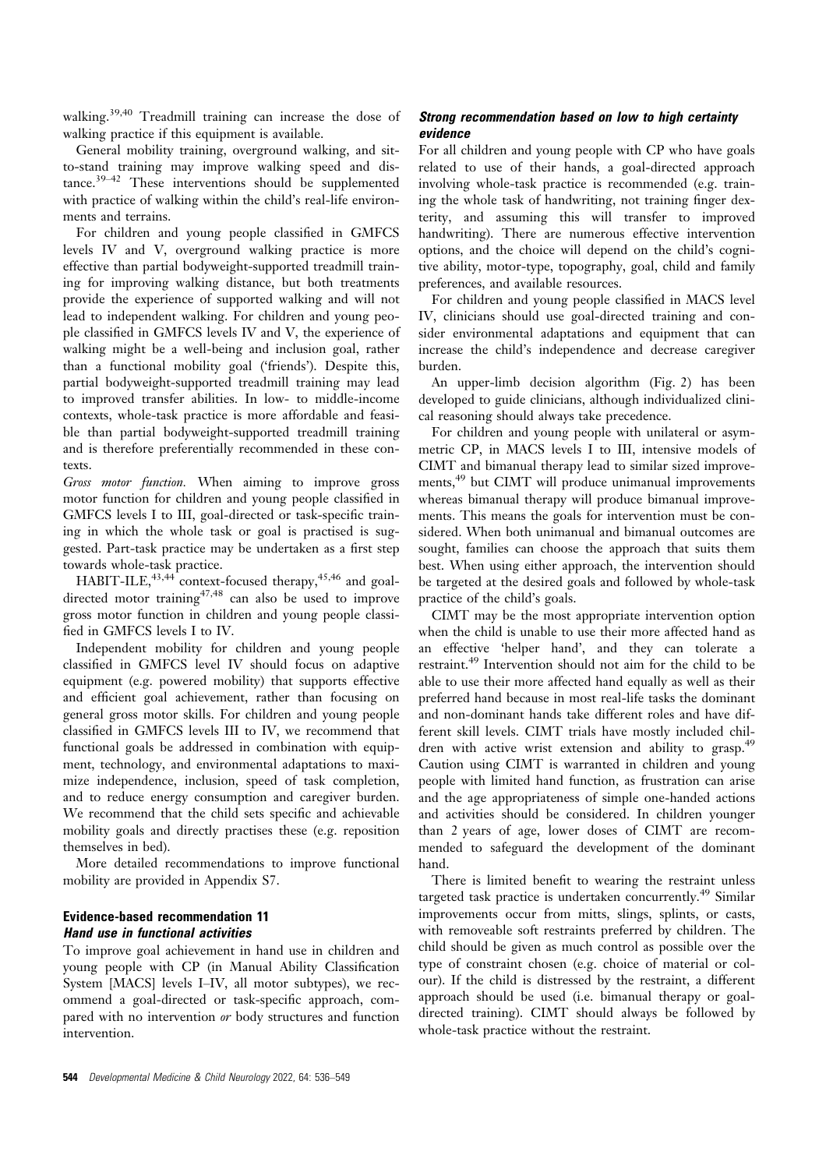walking.<sup>39,40</sup> Treadmill training can increase the dose of walking practice if this equipment is available.

General mobility training, overground walking, and sitto-stand training may improve walking speed and distance. $39-42$  These interventions should be supplemented with practice of walking within the child's real-life environments and terrains.

For children and young people classified in GMFCS levels IV and V, overground walking practice is more effective than partial bodyweight-supported treadmill training for improving walking distance, but both treatments provide the experience of supported walking and will not lead to independent walking. For children and young people classified in GMFCS levels IV and V, the experience of walking might be a well-being and inclusion goal, rather than a functional mobility goal ('friends'). Despite this, partial bodyweight-supported treadmill training may lead to improved transfer abilities. In low- to middle-income contexts, whole-task practice is more affordable and feasible than partial bodyweight-supported treadmill training and is therefore preferentially recommended in these contexts.

Gross motor function. When aiming to improve gross motor function for children and young people classified in GMFCS levels I to III, goal-directed or task-specific training in which the whole task or goal is practised is suggested. Part-task practice may be undertaken as a first step towards whole-task practice.

HABIT-ILE, $4^{3,44}$  context-focused therapy, $4^{5,46}$  and goaldirected motor training<sup>47,48</sup> can also be used to improve gross motor function in children and young people classified in GMFCS levels I to IV.

Independent mobility for children and young people classified in GMFCS level IV should focus on adaptive equipment (e.g. powered mobility) that supports effective and efficient goal achievement, rather than focusing on general gross motor skills. For children and young people classified in GMFCS levels III to IV, we recommend that functional goals be addressed in combination with equipment, technology, and environmental adaptations to maximize independence, inclusion, speed of task completion, and to reduce energy consumption and caregiver burden. We recommend that the child sets specific and achievable mobility goals and directly practises these (e.g. reposition themselves in bed).

More detailed recommendations to improve functional mobility are provided in Appendix S7.

### Evidence-based recommendation 11 Hand use in functional activities

To improve goal achievement in hand use in children and young people with CP (in Manual Ability Classification System [MACS] levels I–IV, all motor subtypes), we recommend a goal-directed or task-specific approach, compared with no intervention or body structures and function intervention.

### Strong recommendation based on low to high certainty evidence

For all children and young people with CP who have goals related to use of their hands, a goal-directed approach involving whole-task practice is recommended (e.g. training the whole task of handwriting, not training finger dexterity, and assuming this will transfer to improved handwriting). There are numerous effective intervention options, and the choice will depend on the child's cognitive ability, motor-type, topography, goal, child and family preferences, and available resources.

For children and young people classified in MACS level IV, clinicians should use goal-directed training and consider environmental adaptations and equipment that can increase the child's independence and decrease caregiver burden.

An upper-limb decision algorithm (Fig. 2) has been developed to guide clinicians, although individualized clinical reasoning should always take precedence.

For children and young people with unilateral or asymmetric CP, in MACS levels I to III, intensive models of CIMT and bimanual therapy lead to similar sized improvements,<sup>49</sup> but CIMT will produce unimanual improvements whereas bimanual therapy will produce bimanual improvements. This means the goals for intervention must be considered. When both unimanual and bimanual outcomes are sought, families can choose the approach that suits them best. When using either approach, the intervention should be targeted at the desired goals and followed by whole-task practice of the child's goals.

CIMT may be the most appropriate intervention option when the child is unable to use their more affected hand as an effective 'helper hand', and they can tolerate a restraint.<sup>49</sup> Intervention should not aim for the child to be able to use their more affected hand equally as well as their preferred hand because in most real-life tasks the dominant and non-dominant hands take different roles and have different skill levels. CIMT trials have mostly included children with active wrist extension and ability to grasp.<sup>49</sup> Caution using CIMT is warranted in children and young people with limited hand function, as frustration can arise and the age appropriateness of simple one-handed actions and activities should be considered. In children younger than 2 years of age, lower doses of CIMT are recommended to safeguard the development of the dominant hand.

There is limited benefit to wearing the restraint unless targeted task practice is undertaken concurrently.<sup>49</sup> Similar improvements occur from mitts, slings, splints, or casts, with removeable soft restraints preferred by children. The child should be given as much control as possible over the type of constraint chosen (e.g. choice of material or colour). If the child is distressed by the restraint, a different approach should be used (i.e. bimanual therapy or goaldirected training). CIMT should always be followed by whole-task practice without the restraint.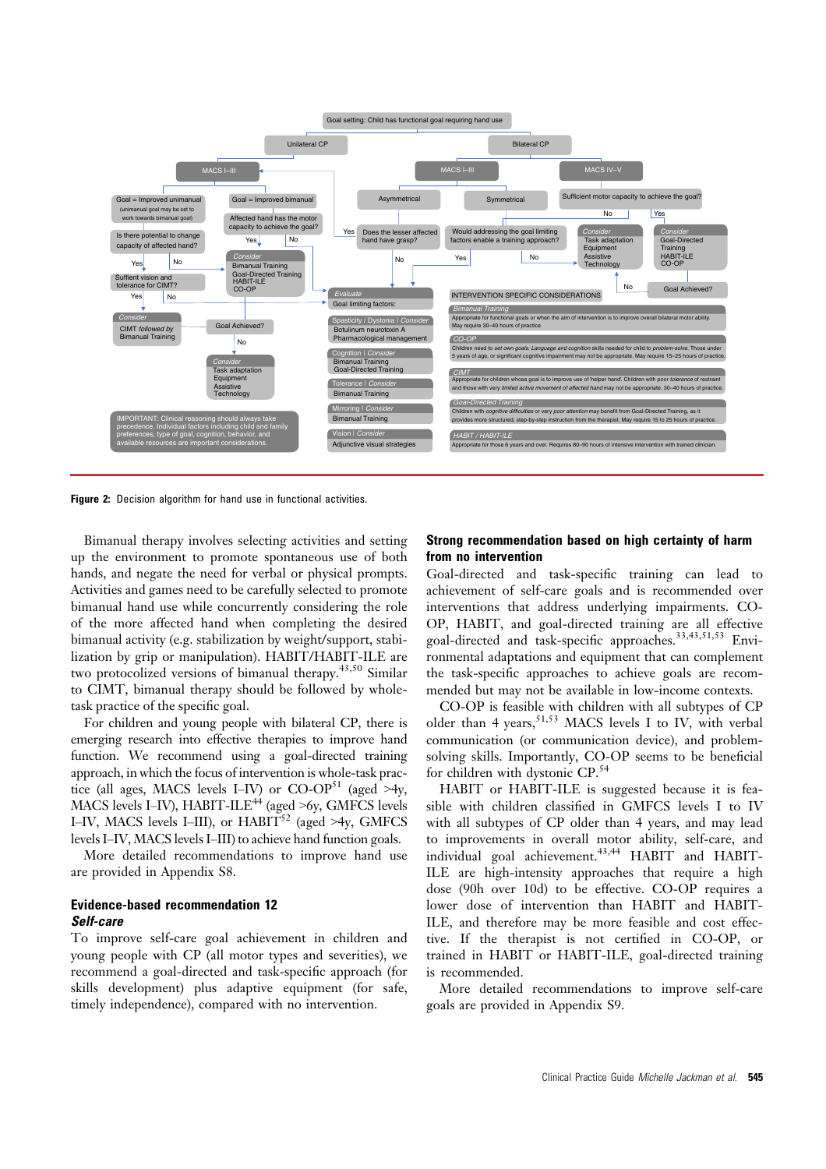

Figure 2: Decision algorithm for hand use in functional activities.

Bimanual therapy involves selecting activities and setting up the environment to promote spontaneous use of both hands, and negate the need for verbal or physical prompts. Activities and games need to be carefully selected to promote bimanual hand use while concurrently considering the role of the more affected hand when completing the desired bimanual activity (e.g. stabilization by weight/support, stabilization by grip or manipulation). HABIT/HABIT-ILE are two protocolized versions of bimanual therapy.<sup>43,50</sup> Similar to CIMT, bimanual therapy should be followed by wholetask practice of the specific goal.

For children and young people with bilateral CP, there is emerging research into effective therapies to improve hand function. We recommend using a goal-directed training approach, in which the focus of intervention is whole-task practice (all ages, MACS levels I–IV) or CO-OP<sup>51</sup> (aged >4y, MACS levels I–IV), HABIT-ILE<sup>44</sup> (aged  $>$ 6y, GMFCS levels I–IV, MACS levels I–III), or HABIT<sup>52</sup> (aged >4y, GMFCS levels I–IV, MACS levels I–III) to achieve hand function goals.

More detailed recommendations to improve hand use are provided in Appendix S8.

# Evidence-based recommendation 12 Self-care

To improve self-care goal achievement in children and young people with CP (all motor types and severities), we recommend a goal-directed and task-specific approach (for skills development) plus adaptive equipment (for safe, timely independence), compared with no intervention.

### Strong recommendation based on high certainty of harm from no intervention

Goal-directed and task-specific training can lead to achievement of self-care goals and is recommended over interventions that address underlying impairments. CO-OP, HABIT, and goal-directed training are all effective goal-directed and task-specific approaches.33,43,51,53 Environmental adaptations and equipment that can complement the task-specific approaches to achieve goals are recommended but may not be available in low-income contexts.

CO-OP is feasible with children with all subtypes of CP older than 4 years,  $51,53$  MACS levels I to IV, with verbal communication (or communication device), and problemsolving skills. Importantly, CO-OP seems to be beneficial for children with dystonic CP.<sup>54</sup>

HABIT or HABIT-ILE is suggested because it is feasible with children classified in GMFCS levels I to IV with all subtypes of CP older than 4 years, and may lead to improvements in overall motor ability, self-care, and individual goal achievement.<sup>43,44</sup> HABIT and HABIT-ILE are high-intensity approaches that require a high dose (90h over 10d) to be effective. CO-OP requires a lower dose of intervention than HABIT and HABIT-ILE, and therefore may be more feasible and cost effective. If the therapist is not certified in CO-OP, or trained in HABIT or HABIT-ILE, goal-directed training is recommended.

More detailed recommendations to improve self-care goals are provided in Appendix S9.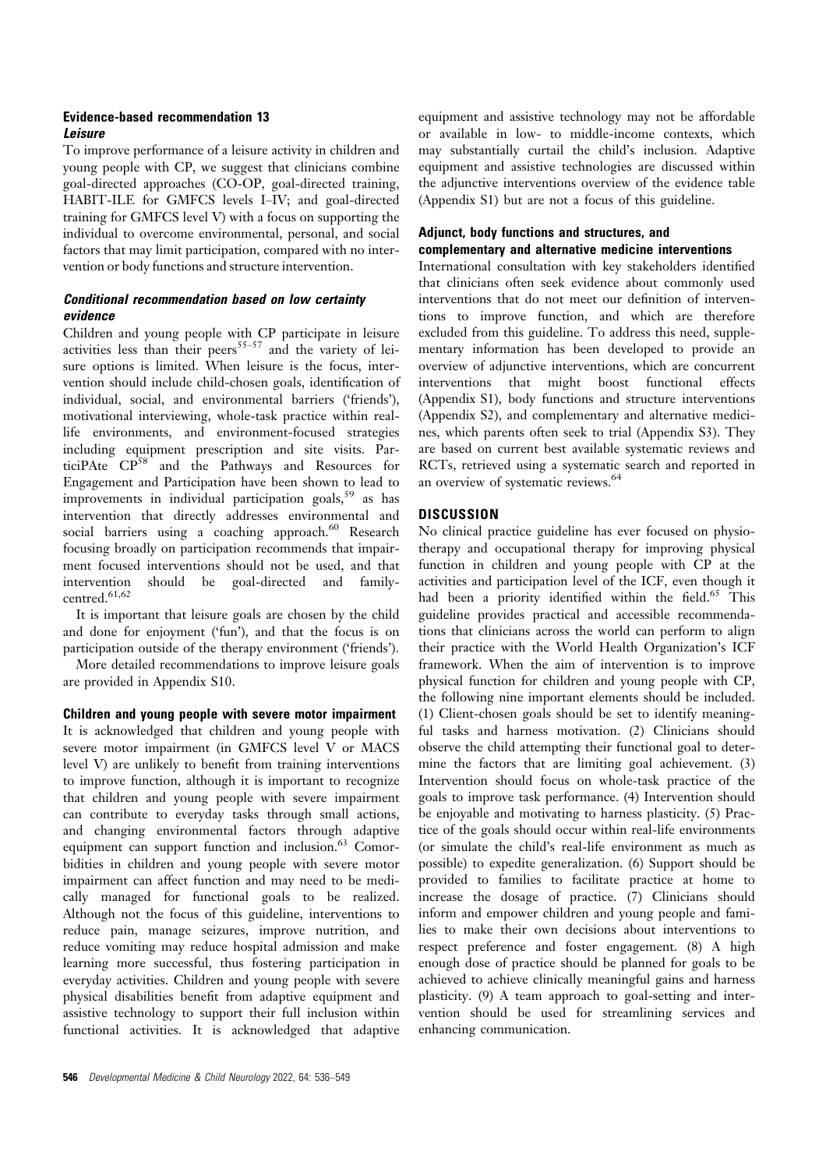### Evidence-based recommendation 13 Leisure

To improve performance of a leisure activity in children and young people with CP, we suggest that clinicians combine goal-directed approaches (CO-OP, goal-directed training, HABIT-ILE for GMFCS levels I–IV; and goal-directed training for GMFCS level V) with a focus on supporting the individual to overcome environmental, personal, and social factors that may limit participation, compared with no intervention or body functions and structure intervention.

# Conditional recommendation based on low certainty evidence

Children and young people with CP participate in leisure activities less than their peers $^{55-57}$  and the variety of leisure options is limited. When leisure is the focus, intervention should include child-chosen goals, identification of individual, social, and environmental barriers ('friends'), motivational interviewing, whole-task practice within reallife environments, and environment-focused strategies including equipment prescription and site visits. ParticiPAte CP58 and the Pathways and Resources for Engagement and Participation have been shown to lead to improvements in individual participation goals,<sup>59</sup> as has intervention that directly addresses environmental and social barriers using a coaching approach.<sup>60</sup> Research focusing broadly on participation recommends that impairment focused interventions should not be used, and that intervention should be goal-directed and familycentred.<sup>61,62</sup>

It is important that leisure goals are chosen by the child and done for enjoyment ('fun'), and that the focus is on participation outside of the therapy environment ('friends').

More detailed recommendations to improve leisure goals are provided in Appendix S10.

### Children and young people with severe motor impairment

It is acknowledged that children and young people with severe motor impairment (in GMFCS level V or MACS level V) are unlikely to benefit from training interventions to improve function, although it is important to recognize that children and young people with severe impairment can contribute to everyday tasks through small actions, and changing environmental factors through adaptive equipment can support function and inclusion.<sup>63</sup> Comorbidities in children and young people with severe motor impairment can affect function and may need to be medically managed for functional goals to be realized. Although not the focus of this guideline, interventions to reduce pain, manage seizures, improve nutrition, and reduce vomiting may reduce hospital admission and make learning more successful, thus fostering participation in everyday activities. Children and young people with severe physical disabilities benefit from adaptive equipment and assistive technology to support their full inclusion within functional activities. It is acknowledged that adaptive

equipment and assistive technology may not be affordable or available in low- to middle-income contexts, which may substantially curtail the child's inclusion. Adaptive equipment and assistive technologies are discussed within the adjunctive interventions overview of the evidence table (Appendix S1) but are not a focus of this guideline.

# Adjunct, body functions and structures, and complementary and alternative medicine interventions

International consultation with key stakeholders identified that clinicians often seek evidence about commonly used interventions that do not meet our definition of interventions to improve function, and which are therefore excluded from this guideline. To address this need, supplementary information has been developed to provide an overview of adjunctive interventions, which are concurrent interventions that might boost functional effects (Appendix S1), body functions and structure interventions (Appendix S2), and complementary and alternative medicines, which parents often seek to trial (Appendix S3). They are based on current best available systematic reviews and RCTs, retrieved using a systematic search and reported in an overview of systematic reviews.<sup>64</sup>

# **DISCUSSION**

No clinical practice guideline has ever focused on physiotherapy and occupational therapy for improving physical function in children and young people with CP at the activities and participation level of the ICF, even though it had been a priority identified within the field.<sup>65</sup> This guideline provides practical and accessible recommendations that clinicians across the world can perform to align their practice with the World Health Organization's ICF framework. When the aim of intervention is to improve physical function for children and young people with CP, the following nine important elements should be included. (1) Client-chosen goals should be set to identify meaningful tasks and harness motivation. (2) Clinicians should observe the child attempting their functional goal to determine the factors that are limiting goal achievement. (3) Intervention should focus on whole-task practice of the goals to improve task performance. (4) Intervention should be enjoyable and motivating to harness plasticity. (5) Practice of the goals should occur within real-life environments (or simulate the child's real-life environment as much as possible) to expedite generalization. (6) Support should be provided to families to facilitate practice at home to increase the dosage of practice. (7) Clinicians should inform and empower children and young people and families to make their own decisions about interventions to respect preference and foster engagement. (8) A high enough dose of practice should be planned for goals to be achieved to achieve clinically meaningful gains and harness plasticity. (9) A team approach to goal-setting and intervention should be used for streamlining services and enhancing communication.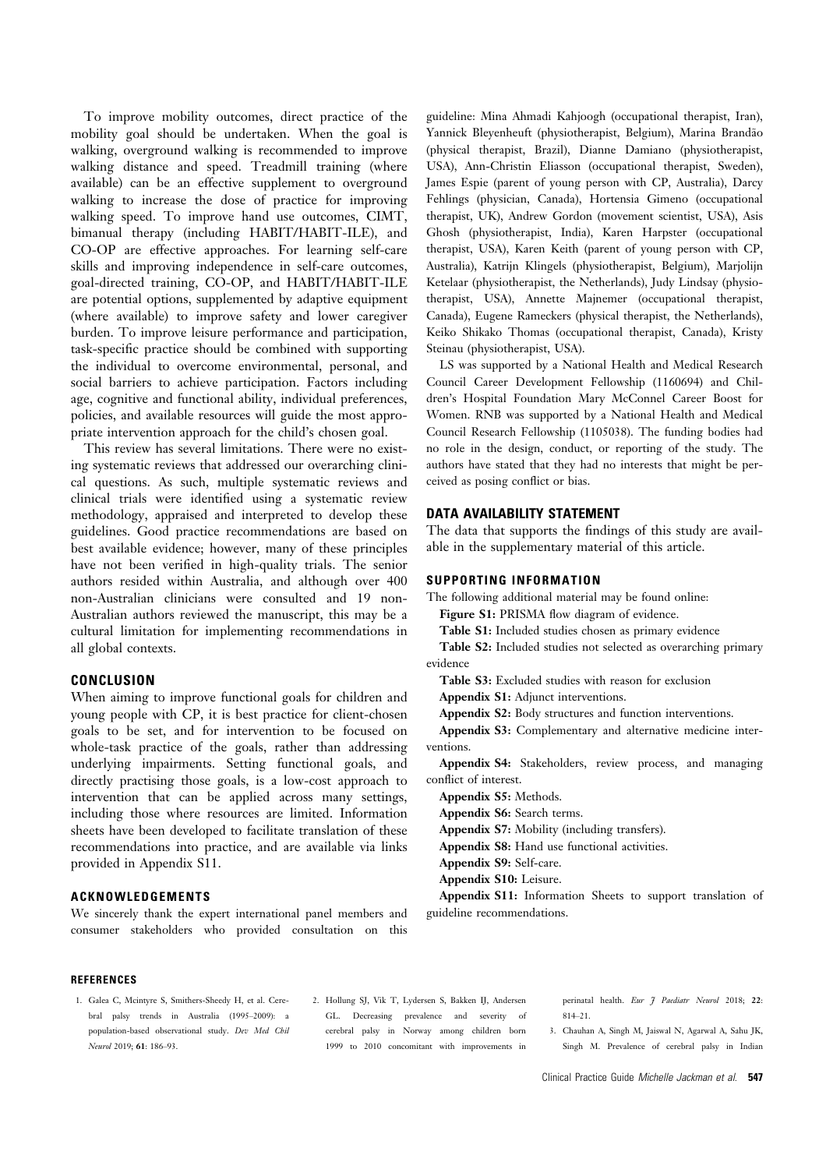To improve mobility outcomes, direct practice of the mobility goal should be undertaken. When the goal is walking, overground walking is recommended to improve walking distance and speed. Treadmill training (where available) can be an effective supplement to overground walking to increase the dose of practice for improving walking speed. To improve hand use outcomes, CIMT, bimanual therapy (including HABIT/HABIT-ILE), and CO-OP are effective approaches. For learning self-care skills and improving independence in self-care outcomes, goal-directed training, CO-OP, and HABIT/HABIT-ILE are potential options, supplemented by adaptive equipment (where available) to improve safety and lower caregiver burden. To improve leisure performance and participation, task-specific practice should be combined with supporting the individual to overcome environmental, personal, and social barriers to achieve participation. Factors including age, cognitive and functional ability, individual preferences, policies, and available resources will guide the most appropriate intervention approach for the child's chosen goal.

This review has several limitations. There were no existing systematic reviews that addressed our overarching clinical questions. As such, multiple systematic reviews and clinical trials were identified using a systematic review methodology, appraised and interpreted to develop these guidelines. Good practice recommendations are based on best available evidence; however, many of these principles have not been verified in high-quality trials. The senior authors resided within Australia, and although over 400 non-Australian clinicians were consulted and 19 non-Australian authors reviewed the manuscript, this may be a cultural limitation for implementing recommendations in all global contexts.

### CONCLUSION

When aiming to improve functional goals for children and young people with CP, it is best practice for client-chosen goals to be set, and for intervention to be focused on whole-task practice of the goals, rather than addressing underlying impairments. Setting functional goals, and directly practising those goals, is a low-cost approach to intervention that can be applied across many settings, including those where resources are limited. Information sheets have been developed to facilitate translation of these recommendations into practice, and are available via links provided in Appendix S11.

### ACKNOWLEDGEMENTS

We sincerely thank the expert international panel members and consumer stakeholders who provided consultation on this

guideline: Mina Ahmadi Kahjoogh (occupational therapist, Iran), Yannick Bleyenheuft (physiotherapist, Belgium), Marina Brandão (physical therapist, Brazil), Dianne Damiano (physiotherapist, USA), Ann-Christin Eliasson (occupational therapist, Sweden), James Espie (parent of young person with CP, Australia), Darcy Fehlings (physician, Canada), Hortensia Gimeno (occupational therapist, UK), Andrew Gordon (movement scientist, USA), Asis Ghosh (physiotherapist, India), Karen Harpster (occupational therapist, USA), Karen Keith (parent of young person with CP, Australia), Katrijn Klingels (physiotherapist, Belgium), Marjolijn Ketelaar (physiotherapist, the Netherlands), Judy Lindsay (physiotherapist, USA), Annette Majnemer (occupational therapist, Canada), Eugene Rameckers (physical therapist, the Netherlands), Keiko Shikako Thomas (occupational therapist, Canada), Kristy Steinau (physiotherapist, USA).

LS was supported by a National Health and Medical Research Council Career Development Fellowship (1160694) and Children's Hospital Foundation Mary McConnel Career Boost for Women. RNB was supported by a National Health and Medical Council Research Fellowship (1105038). The funding bodies had no role in the design, conduct, or reporting of the study. The authors have stated that they had no interests that might be perceived as posing conflict or bias.

### DATA AVAILABILITY STATEMENT

The data that supports the findings of this study are available in the supplementary material of this article.

#### SUPPORTING INFORMATION

The following additional material may be found online:

Figure S1: PRISMA flow diagram of evidence.

Table S1: Included studies chosen as primary evidence

Table S2: Included studies not selected as overarching primary evidence

Table S3: Excluded studies with reason for exclusion

Appendix S1: Adjunct interventions.

Appendix S2: Body structures and function interventions.

Appendix S3: Complementary and alternative medicine interventions.

Appendix S4: Stakeholders, review process, and managing conflict of interest.

Appendix S5: Methods.

Appendix S6: Search terms.

Appendix S7: Mobility (including transfers).

Appendix S8: Hand use functional activities.

Appendix S9: Self-care.

Appendix S10: Leisure.

Appendix S11: Information Sheets to support translation of guideline recommendations.

### **REFERENCES**

- 1. Galea C, Mcintyre S, Smithers-Sheedy H, et al. Cerebral palsy trends in Australia (1995–2009): a population-based observational study. Dev Med Chil Neurol 2019; 61: 186–93.
- 2. Hollung SJ, Vik T, Lydersen S, Bakken IJ, Andersen GL. Decreasing prevalence and severity of cerebral palsy in Norway among children born 1999 to 2010 concomitant with improvements in

perinatal health. Eur J Paediatr Neurol 2018; 22: 814–21.

3. Chauhan A, Singh M, Jaiswal N, Agarwal A, Sahu JK, Singh M. Prevalence of cerebral palsy in Indian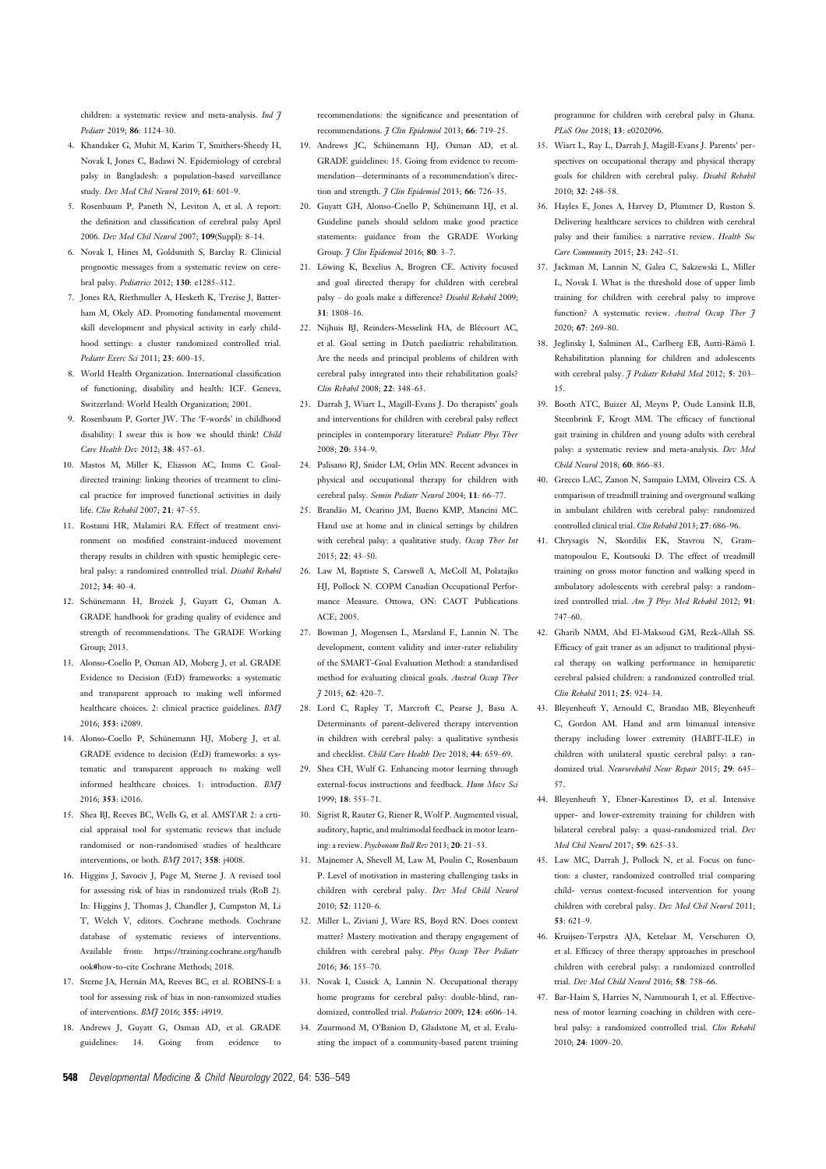children: a systematic review and meta-analysis. *Ind 7* Pediatr 2019; 86: 1124–30.

- 4. Khandaker G, Muhit M, Karim T, Smithers-Sheedy H, Novak I, Jones C, Badawi N. Epidemiology of cerebral palsy in Bangladesh: a population-based surveillance study. Dev Med Chil Neurol 2019; 61: 601–9.
- 5. Rosenbaum P, Paneth N, Leviton A, et al. A report: the definition and classification of cerebral palsy April 2006. Dev Med Chil Neurol 2007; 109(Suppl): 8–14.
- 6. Novak I, Hines M, Goldsmith S, Barclay R. Clinicial prognostic messages from a systematic review on cerebral palsy. Pediatrics 2012; 130: e1285–312.
- 7. Jones RA, Riethmuller A, Hesketh K, Trezise J, Batterham M, Okely AD. Promoting fundamental movement skill development and physical activity in early childhood settings: a cluster randomized controlled trial. Pediatr Exerc Sci 2011; 23: 600–15.
- 8. World Health Organization. International classification of functioning, disability and health: ICF. Geneva, Switzerland: World Health Organization; 2001.
- 9. Rosenbaum P, Gorter JW. The 'F-words' in childhood disability: I swear this is how we should think! Child Care Health Dev 2012; 38: 457–63.
- 10. Mastos M, Miller K, Eliasson AC, Imms C. Goaldirected training: linking theories of treatment to clinical practice for improved functional activities in daily life. Clin Rehabil 2007; 21: 47–55.
- 11. Rostami HR, Malamiri RA. Effect of treatment environment on modified constraint-induced movement therapy results in children with spastic hemiplegic cerebral palsy: a randomized controlled trial. Disabil Rehabil 2012; 34: 40–4.
- 12. Schünemann H, Brożek J, Guyatt G, Oxman A. GRADE handbook for grading quality of evidence and strength of recommendations. The GRADE Working Group; 2013.
- 13. Alonso-Coello P, Oxman AD, Moberg J, et al. GRADE Evidence to Decision (EtD) frameworks: a systematic and transparent approach to making well informed healthcare choices. 2: clinical practice guidelines. BMJ 2016; 353: i2089.
- 14. Alonso-Coello P. Schünemann HJ, Moberg J, et al. GRADE evidence to decision (EtD) frameworks: a systematic and transparent approach to making well informed healthcare choices. 1: introduction. BM7 2016; 353: i2016.
- 15. Shea BJ, Reeves BC, Wells G, et al. AMSTAR 2: a crticial appraisal tool for systematic reviews that include randomised or non-randomised studies of healthcare interventions, or both. *BM*7 2017; 358: j4008.
- 16. Higgins J, Savociv J, Page M, Sterne J. A revised tool for assessing risk of bias in randomized trials (RoB 2). In: Higgins J, Thomas J, Chandler J, Cumpston M, Li T, Welch V, editors. Cochrane methods. Cochrane database of systematic reviews of interventions. Available from: https://training.cochrane.org/handb ook#how-to-cite Cochrane Methods; 2018.
- 17. Sterne JA, Hernán MA, Reeves BC, et al. ROBINS-I: a tool for assessing risk of bias in non-ransomized studies of interventions. BMJ 2016; 355: i4919.
- 18. Andrews J, Guyatt G, Oxman AD, et al. GRADE guidelines: 14. Going from evidence to

recommendations: the significance and presentation of recommendations. *I Clin Epidemiol* 2013: 66: 719-25.

- 19. Andrews JC, Schünemann HJ, Oxman AD, et al. GRADE guidelines: 15. Going from evidence to recommendation—determinants of a recommendation's direction and strength.  $7 \text{ Clin } \text{Evidemiol } 2013$ ; 66: 726-35.
- 20. Guyatt GH, Alonso-Coello P, Schünemann HJ, et al. Guideline panels should seldom make good practice statements: guidance from the GRADE Working Group. *J Clin Epidemiol* 2016; 80: 3-7.
- 21. Löwing K, Bexelius A, Brogren CE. Activity focused and goal directed therapy for children with cerebral palsy – do goals make a difference? Disabil Rehabil 2009; 31: 1808–16.
- 22. Nijhuis BJ, Reinders-Messelink HA, de Blécourt AC, et al. Goal setting in Dutch paediatric rehabilitation. Are the needs and principal problems of children with cerebral palsy integrated into their rehabilitation goals? Clin Rehabil 2008; 22: 348–63.
- 23. Darrah J, Wiart L, Magill-Evans J. Do therapists' goals and interventions for children with cerebral palsy reflect principles in contemporary literature? Pediatr Phys Ther 2008; 20: 334–9.
- 24. Palisano RJ, Snider LM, Orlin MN. Recent advances in physical and occupational therapy for children with cerebral palsy. Semin Pediatr Neurol 2004; 11: 66–77.
- 25. Brandão M, Ocarino JM, Bueno KMP, Mancini MC. Hand use at home and in clinical settings by children with cerebral palsy: a qualitative study. Occup Ther Int 2015; 22: 43–50.
- 26. Law M, Baptiste S, Carswell A, McColl M, Polatajko HJ, Pollock N. COPM Canadian Occupational Performance Measure. Ottowa, ON: CAOT Publications ACE; 2005.
- 27. Bowman J, Mogensen L, Marsland E, Lannin N. The development, content validity and inter-rater reliability of the SMART-Goal Evaluation Method: a standardised method for evaluating clinical goals. Austral Occup Ther J 2015; 62: 420–7.
- 28. Lord C, Rapley T, Marcroft C, Pearse J, Basu A. Determinants of parent-delivered therapy intervention in children with cerebral palsy: a qualitative synthesis and checklist. Child Care Health Dev 2018; 44: 659–69.
- 29. Shea CH, Wulf G. Enhancing motor learning through external-focus instructions and feedback. Hum Move Sci 1999; 18: 553–71.
- 30. Sigrist R, Rauter G, Riener R, Wolf P. Augmented visual, auditory, haptic, and multimodal feedback in motor learning: a review. Psychonom Bull Rev 2013; 20: 21–53.
- 31. Majnemer A, Shevell M, Law M, Poulin C, Rosenbaum P. Level of motivation in mastering challenging tasks in children with cerebral palsy. Dev Med Child Neurol 2010; 52: 1120–6.
- 32. Miller L, Ziviani J, Ware RS, Boyd RN. Does context matter? Mastery motivation and therapy engagement of children with cerebral palsy. Phys Occup Ther Pediatr 2016; 36: 155–70.
- 33. Novak I, Cusick A, Lannin N. Occupational therapy home programs for cerebral palsy: double-blind, randomized, controlled trial. Pediatrics 2009; 124: e606–14.
- 34. Zuurmond M, O'Banion D, Gladstone M, et al. Evaluating the impact of a community-based parent training

programme for children with cerebral palsy in Ghana. PLoS One 2018; 13: e0202096.

- 35. Wiart L, Ray L, Darrah J, Magill-Evans J. Parents' perspectives on occupational therapy and physical therapy goals for children with cerebral palsy. Disabil Rehabil 2010; 32: 248–58.
- 36. Hayles E, Jones A, Harvey D, Plummer D, Ruston S. Delivering healthcare services to children with cerebral palsy and their families: a narrative review. Health Soc Care Community 2015; 23: 242–51.
- 37. Jackman M, Lannin N, Galea C, Sakzewski L, Miller L, Novak I. What is the threshold dose of upper limb training for children with cerebral palsy to improve function? A systematic review. Austral Occup Ther 7 2020; 67: 269–80.
- 38. Jeglinsky I, Salminen AL, Carlberg EB, Autti-Rämö I. Rehabilitation planning for children and adolescents with cerebral palsy. J Pediatr Rehabil Med 2012; 5: 203-15.
- 39. Booth ATC, Buizer AI, Meyns P, Oude Lansink ILB, Steenbrink F, Krogt MM. The efficacy of functional gait training in children and young adults with cerebral palsy: a systematic review and meta-analysis. Dev Med Child Neurol 2018; 60: 866–83.
- 40. Grecco LAC, Zanon N, Sampaio LMM, Oliveira CS. A comparison of treadmill training and overground walking in ambulant children with cerebral palsy: randomized controlled clinical trial. Clin Rehabil 2013; 27: 686–96.
- 41. Chrysagis N, Skordilis EK, Stavrou N, Grammatopoulou E, Koutsouki D. The effect of treadmill training on gross motor function and walking speed in ambulatory adolescents with cerebral palsy: a randomized controlled trial. Am 7 Phys Med Rehabil 2012; 91: 747–60.
- 42. Gharib NMM, Abd El-Maksoud GM, Rezk-Allah SS. Efficacy of gait traner as an adjunct to traditional physical therapy on walking performance in hemiparetic cerebral palsied children: a randomized controlled trial. Clin Rehabil 2011; 25: 924–34.
- 43. Bleyenheuft Y, Arnould C, Brandao MB, Bleyenheuft C, Gordon AM. Hand and arm bimanual intensive therapy including lower extremity (HABIT-ILE) in children with unilateral spastic cerebral palsy: a randomized trial. Neurorehabil Neur Repair 2015; 29: 645– 57.
- 44. Bleyenheuft Y, Ebner-Karestinos D, et al. Intensive upper- and lower-extremity training for children with bilateral cerebral palsy: a quasi-randomized trial. Dev Med Chil Neurol 2017; 59: 625–33.
- 45. Law MC, Darrah J, Pollock N, et al. Focus on function: a cluster, randomized controlled trial comparing child- versus context-focused intervention for young children with cerebral palsy. Dev Med Chil Neurol 2011; 53: 621–9.
- 46. Kruijsen-Terpstra AJA, Ketelaar M, Verschuren O, et al. Efficacy of three therapy approaches in preschool children with cerebral palsy: a randomized controlled trial. Dev Med Child Neurol 2016; 58: 758–66.
- 47. Bar-Haim S, Harries N, Nammourah I, et al. Effectiveness of motor learning coaching in children with cerebral palsy: a randomized controlled trial. Clin Rehabil 2010; 24: 1009–20.